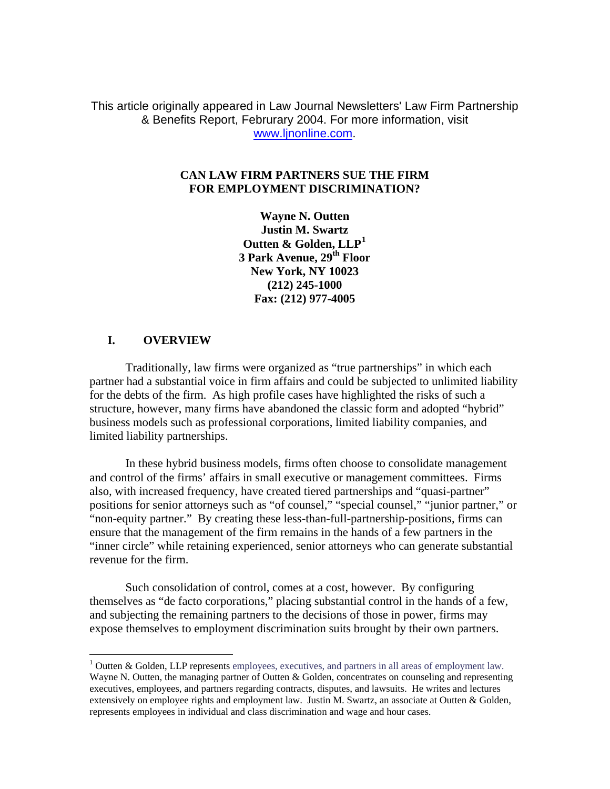This article originally appeared in Law Journal Newsletters' Law Firm Partnership & Benefits Report, Februrary 2004. For more information, visit [www.ljnonline.com](http://www.ljnonline.com/).

### **CAN LAW FIRM PARTNERS SUE THE FIRM FOR EMPLOYMENT DISCRIMINATION?**

**Wayne N. Outten Justin M. Swartz Outten & Golden, LLP[1](#page-0-0) 3 Park Avenue, 29th Floor New York, NY 10023 (212) 245-1000 Fax: (212) 977-4005** 

## **I. OVERVIEW**

 $\overline{a}$ 

Traditionally, law firms were organized as "true partnerships" in which each partner had a substantial voice in firm affairs and could be subjected to unlimited liability for the debts of the firm. As high profile cases have highlighted the risks of such a structure, however, many firms have abandoned the classic form and adopted "hybrid" business models such as professional corporations, limited liability companies, and limited liability partnerships.

In these hybrid business models, firms often choose to consolidate management and control of the firms' affairs in small executive or management committees. Firms also, with increased frequency, have created tiered partnerships and "quasi-partner" positions for senior attorneys such as "of counsel," "special counsel," "junior partner," or "non-equity partner." By creating these less-than-full-partnership-positions, firms can ensure that the management of the firm remains in the hands of a few partners in the "inner circle" while retaining experienced, senior attorneys who can generate substantial revenue for the firm.

Such consolidation of control, comes at a cost, however. By configuring themselves as "de facto corporations," placing substantial control in the hands of a few, and subjecting the remaining partners to the decisions of those in power, firms may expose themselves to employment discrimination suits brought by their own partners.

<span id="page-0-0"></span> $1$  Outten & Golden, LLP represents employees, executives, and partners in all areas of employment law. Wayne N. Outten, the managing partner of Outten & Golden, concentrates on counseling and representing executives, employees, and partners regarding contracts, disputes, and lawsuits. He writes and lectures extensively on employee rights and employment law. Justin M. Swartz, an associate at Outten & Golden, represents employees in individual and class discrimination and wage and hour cases.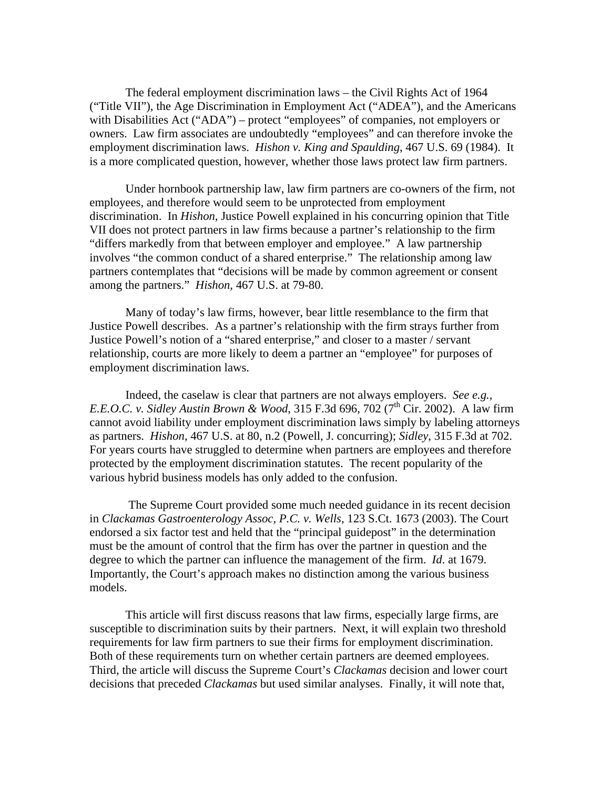The federal employment discrimination laws – the Civil Rights Act of 1964 ("Title VII"), the Age Discrimination in Employment Act ("ADEA"), and the Americans with Disabilities Act ("ADA") – protect "employees" of companies, not employers or owners. Law firm associates are undoubtedly "employees" and can therefore invoke the employment discrimination laws. *Hishon v. King and Spaulding*, 467 U.S. 69 (1984). It is a more complicated question, however, whether those laws protect law firm partners.

Under hornbook partnership law, law firm partners are co-owners of the firm, not employees, and therefore would seem to be unprotected from employment discrimination. In *Hishon*, Justice Powell explained in his concurring opinion that Title VII does not protect partners in law firms because a partner's relationship to the firm "differs markedly from that between employer and employee." A law partnership involves "the common conduct of a shared enterprise." The relationship among law partners contemplates that "decisions will be made by common agreement or consent among the partners." *Hishon*, 467 U.S. at 79-80.

Many of today's law firms, however, bear little resemblance to the firm that Justice Powell describes. As a partner's relationship with the firm strays further from Justice Powell's notion of a "shared enterprise," and closer to a master / servant relationship, courts are more likely to deem a partner an "employee" for purposes of employment discrimination laws.

Indeed, the caselaw is clear that partners are not always employers. *See e.g., E.E.O.C. v. Sidley Austin Brown & Wood*, 315 F.3d 696, 702 (7<sup>th</sup> Cir. 2002). A law firm cannot avoid liability under employment discrimination laws simply by labeling attorneys as partners. *Hishon*, 467 U.S. at 80, n.2 (Powell, J. concurring); *Sidley*, 315 F.3d at 702. For years courts have struggled to determine when partners are employees and therefore protected by the employment discrimination statutes. The recent popularity of the various hybrid business models has only added to the confusion.

 The Supreme Court provided some much needed guidance in its recent decision in *Clackamas Gastroenterology Assoc, P.C. v. Wells*, 123 S.Ct. 1673 (2003). The Court endorsed a six factor test and held that the "principal guidepost" in the determination must be the amount of control that the firm has over the partner in question and the degree to which the partner can influence the management of the firm. *Id*. at 1679. Importantly, the Court's approach makes no distinction among the various business models.

This article will first discuss reasons that law firms, especially large firms, are susceptible to discrimination suits by their partners. Next, it will explain two threshold requirements for law firm partners to sue their firms for employment discrimination. Both of these requirements turn on whether certain partners are deemed employees. Third, the article will discuss the Supreme Court's *Clackamas* decision and lower court decisions that preceded *Clackamas* but used similar analyses. Finally, it will note that,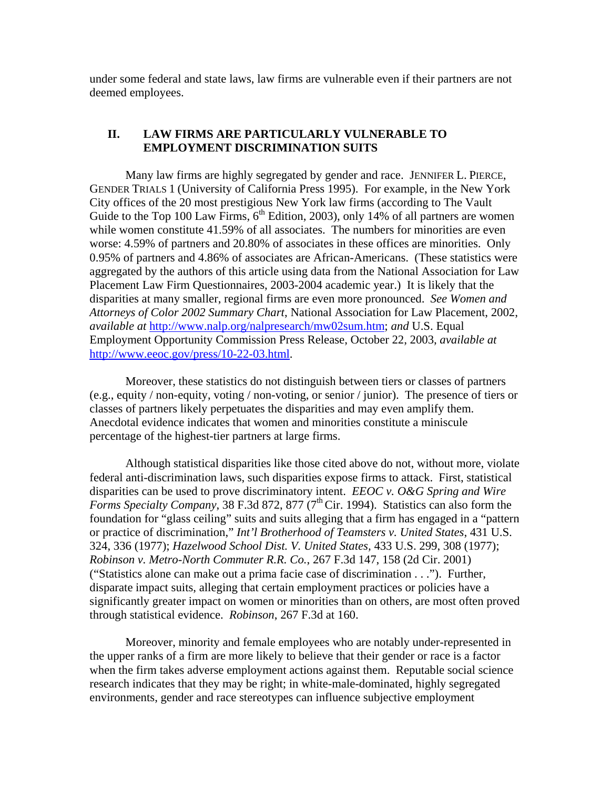under some federal and state laws, law firms are vulnerable even if their partners are not deemed employees.

# **II. LAW FIRMS ARE PARTICULARLY VULNERABLE TO EMPLOYMENT DISCRIMINATION SUITS**

Many law firms are highly segregated by gender and race. JENNIFER L. PIERCE, GENDER TRIALS 1 (University of California Press 1995). For example, in the New York City offices of the 20 most prestigious New York law firms (according to The Vault Guide to the Top 100 Law Firms,  $6<sup>th</sup>$  Edition, 2003), only 14% of all partners are women while women constitute 41.59% of all associates. The numbers for minorities are even worse: 4.59% of partners and 20.80% of associates in these offices are minorities. Only 0.95% of partners and 4.86% of associates are African-Americans. (These statistics were aggregated by the authors of this article using data from the National Association for Law Placement Law Firm Questionnaires, 2003-2004 academic year.) It is likely that the disparities at many smaller, regional firms are even more pronounced. *See Women and Attorneys of Color 2002 Summary Chart*, National Association for Law Placement, 2002, *available at* <http://www.nalp.org/nalpresearch/mw02sum.htm>; *and* U.S. Equal Employment Opportunity Commission Press Release, October 22, 2003, *available at* [http://www.eeoc.gov/press/10-22-03.html.](http://www.eeoc.gov/press/10-22-03.html)

Moreover, these statistics do not distinguish between tiers or classes of partners (e.g., equity / non-equity, voting / non-voting, or senior / junior). The presence of tiers or classes of partners likely perpetuates the disparities and may even amplify them. Anecdotal evidence indicates that women and minorities constitute a miniscule percentage of the highest-tier partners at large firms.

Although statistical disparities like those cited above do not, without more, violate federal anti-discrimination laws, such disparities expose firms to attack. First, statistical disparities can be used to prove discriminatory intent. *EEOC v. O&G Spring and Wire Forms Specialty Company*, 38 F.3d 872, 877 (7<sup>th</sup> Cir. 1994). Statistics can also form the foundation for "glass ceiling" suits and suits alleging that a firm has engaged in a "pattern or practice of discrimination," *Int'l Brotherhood of Teamsters v. United States*, 431 U.S. 324, 336 (1977); *Hazelwood School Dist. V. United States,* 433 U.S. 299, 308 (1977); *Robinson v. Metro-North Commuter R.R. Co.*, 267 F.3d 147, 158 (2d Cir. 2001) ("Statistics alone can make out a prima facie case of discrimination . . ."). Further, disparate impact suits, alleging that certain employment practices or policies have a significantly greater impact on women or minorities than on others, are most often proved through statistical evidence. *Robinson*, 267 F.3d at 160.

Moreover, minority and female employees who are notably under-represented in the upper ranks of a firm are more likely to believe that their gender or race is a factor when the firm takes adverse employment actions against them. Reputable social science research indicates that they may be right; in white-male-dominated, highly segregated environments, gender and race stereotypes can influence subjective employment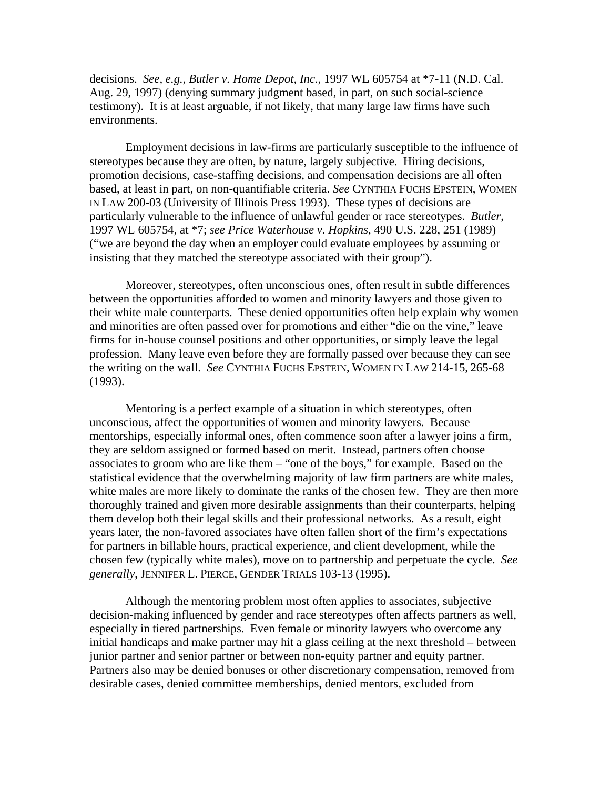decisions. *See, e.g.*, *Butler v. Home Depot, Inc.*, 1997 WL 605754 at \*7-11 (N.D. Cal. Aug. 29, 1997) (denying summary judgment based, in part, on such social-science testimony). It is at least arguable, if not likely, that many large law firms have such environments.

Employment decisions in law-firms are particularly susceptible to the influence of stereotypes because they are often, by nature, largely subjective. Hiring decisions, promotion decisions, case-staffing decisions, and compensation decisions are all often based, at least in part, on non-quantifiable criteria. *See* CYNTHIA FUCHS EPSTEIN, WOMEN IN LAW 200-03 (University of Illinois Press 1993). These types of decisions are particularly vulnerable to the influence of unlawful gender or race stereotypes. *Butler*, 1997 WL 605754, at \*7; *see Price Waterhouse v. Hopkins*, 490 U.S. 228, 251 (1989) ("we are beyond the day when an employer could evaluate employees by assuming or insisting that they matched the stereotype associated with their group").

Moreover, stereotypes, often unconscious ones, often result in subtle differences between the opportunities afforded to women and minority lawyers and those given to their white male counterparts. These denied opportunities often help explain why women and minorities are often passed over for promotions and either "die on the vine," leave firms for in-house counsel positions and other opportunities, or simply leave the legal profession. Many leave even before they are formally passed over because they can see the writing on the wall. *See* CYNTHIA FUCHS EPSTEIN, WOMEN IN LAW 214-15, 265-68 (1993).

Mentoring is a perfect example of a situation in which stereotypes, often unconscious, affect the opportunities of women and minority lawyers. Because mentorships, especially informal ones, often commence soon after a lawyer joins a firm, they are seldom assigned or formed based on merit. Instead, partners often choose associates to groom who are like them – "one of the boys," for example. Based on the statistical evidence that the overwhelming majority of law firm partners are white males, white males are more likely to dominate the ranks of the chosen few. They are then more thoroughly trained and given more desirable assignments than their counterparts, helping them develop both their legal skills and their professional networks. As a result, eight years later, the non-favored associates have often fallen short of the firm's expectations for partners in billable hours, practical experience, and client development, while the chosen few (typically white males), move on to partnership and perpetuate the cycle. *See generally*, JENNIFER L. PIERCE, GENDER TRIALS 103-13 (1995).

Although the mentoring problem most often applies to associates, subjective decision-making influenced by gender and race stereotypes often affects partners as well, especially in tiered partnerships. Even female or minority lawyers who overcome any initial handicaps and make partner may hit a glass ceiling at the next threshold – between junior partner and senior partner or between non-equity partner and equity partner. Partners also may be denied bonuses or other discretionary compensation, removed from desirable cases, denied committee memberships, denied mentors, excluded from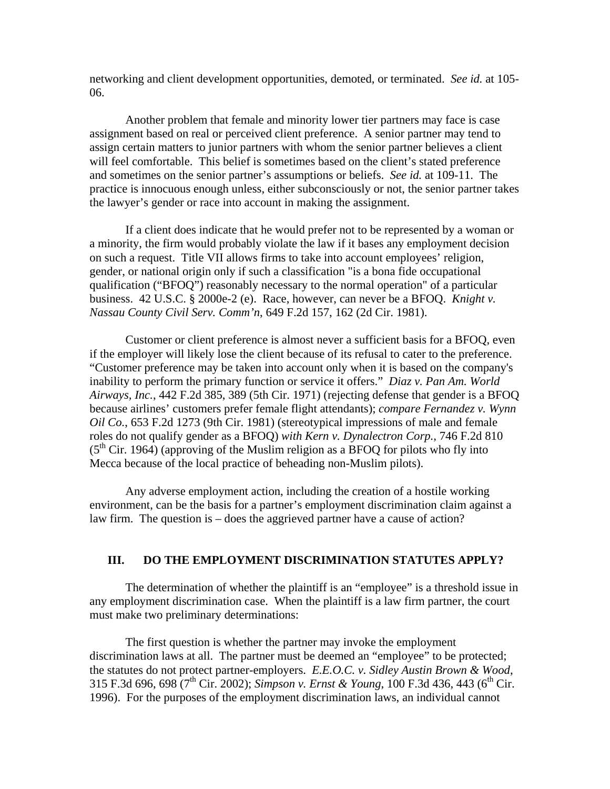networking and client development opportunities, demoted, or terminated. *See id.* at 105- 06.

Another problem that female and minority lower tier partners may face is case assignment based on real or perceived client preference. A senior partner may tend to assign certain matters to junior partners with whom the senior partner believes a client will feel comfortable. This belief is sometimes based on the client's stated preference and sometimes on the senior partner's assumptions or beliefs. *See id.* at 109-11. The practice is innocuous enough unless, either subconsciously or not, the senior partner takes the lawyer's gender or race into account in making the assignment.

If a client does indicate that he would prefer not to be represented by a woman or a minority, the firm would probably violate the law if it bases any employment decision on such a request. Title VII allows firms to take into account employees' religion, gender, or national origin only if such a classification "is a bona fide occupational qualification ("BFOQ") reasonably necessary to the normal operation" of a particular business. 42 U.S.C. § 2000e-2 (e). Race, however, can never be a BFOQ. *Knight v. Nassau County Civil Serv. Comm'n*, 649 F.2d 157, 162 (2d Cir. 1981).

Customer or client preference is almost never a sufficient basis for a BFOQ, even if the employer will likely lose the client because of its refusal to cater to the preference. "Customer preference may be taken into account only when it is based on the company's inability to perform the primary function or service it offers." *Diaz v. Pan Am. World Airways, Inc.*, 442 F.2d 385, 389 (5th Cir. 1971) (rejecting defense that gender is a BFOQ because airlines' customers prefer female flight attendants); *compare Fernandez v. Wynn Oil Co.*, 653 F.2d 1273 (9th Cir. 1981) (stereotypical impressions of male and female roles do not qualify gender as a BFOQ) *with Kern v. Dynalectron Corp.*, 746 F.2d 810  $(5<sup>th</sup> Cir. 1964)$  (approving of the Muslim religion as a BFOO for pilots who fly into Mecca because of the local practice of beheading non-Muslim pilots).

Any adverse employment action, including the creation of a hostile working environment, can be the basis for a partner's employment discrimination claim against a law firm. The question is – does the aggrieved partner have a cause of action?

#### **III. DO THE EMPLOYMENT DISCRIMINATION STATUTES APPLY?**

The determination of whether the plaintiff is an "employee" is a threshold issue in any employment discrimination case. When the plaintiff is a law firm partner, the court must make two preliminary determinations:

The first question is whether the partner may invoke the employment discrimination laws at all. The partner must be deemed an "employee" to be protected; the statutes do not protect partner-employers. *E.E.O.C. v. Sidley Austin Brown & Wood*, 315 F.3d 696, 698 (7<sup>th</sup> Cir. 2002); *Simpson v. Ernst & Young*, 100 F.3d 436, 443 (6<sup>th</sup> Cir. 1996). For the purposes of the employment discrimination laws, an individual cannot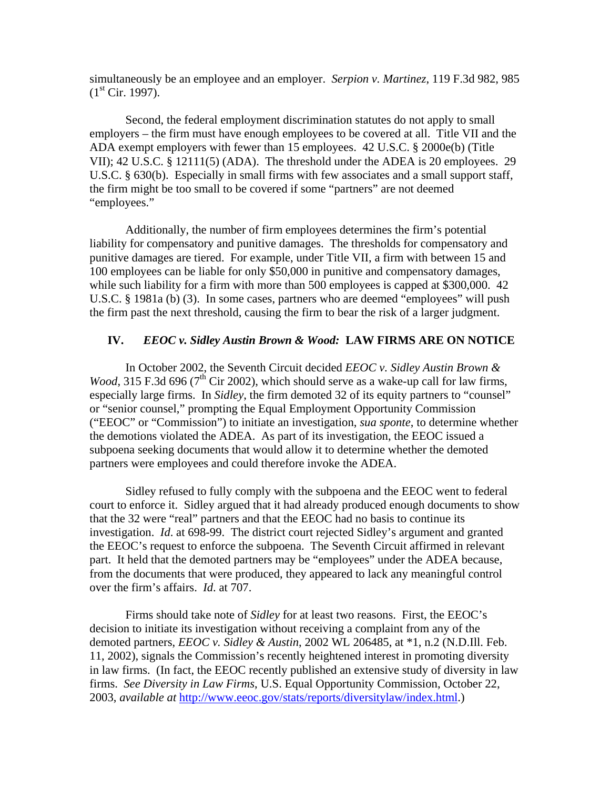simultaneously be an employee and an employer. *Serpion v. Martinez*, 119 F.3d 982, 985  $(1<sup>st</sup> Cir. 1997).$ 

Second, the federal employment discrimination statutes do not apply to small employers – the firm must have enough employees to be covered at all. Title VII and the ADA exempt employers with fewer than 15 employees. 42 U.S.C. § 2000e(b) (Title VII); 42 U.S.C. § 12111(5) (ADA). The threshold under the ADEA is 20 employees. 29 U.S.C. § 630(b). Especially in small firms with few associates and a small support staff, the firm might be too small to be covered if some "partners" are not deemed "employees."

Additionally, the number of firm employees determines the firm's potential liability for compensatory and punitive damages. The thresholds for compensatory and punitive damages are tiered. For example, under Title VII, a firm with between 15 and 100 employees can be liable for only \$50,000 in punitive and compensatory damages, while such liability for a firm with more than 500 employees is capped at \$300,000. 42 U.S.C. § 1981a (b) (3). In some cases, partners who are deemed "employees" will push the firm past the next threshold, causing the firm to bear the risk of a larger judgment.

### **IV.** *EEOC v. Sidley Austin Brown & Wood:* **LAW FIRMS ARE ON NOTICE**

In October 2002, the Seventh Circuit decided *EEOC v. Sidley Austin Brown & Wood*, 315 F.3d 696 ( $7<sup>th</sup>$  Cir 2002), which should serve as a wake-up call for law firms, especially large firms. In *Sidley*, the firm demoted 32 of its equity partners to "counsel" or "senior counsel," prompting the Equal Employment Opportunity Commission ("EEOC" or "Commission") to initiate an investigation, *sua sponte*, to determine whether the demotions violated the ADEA. As part of its investigation, the EEOC issued a subpoena seeking documents that would allow it to determine whether the demoted partners were employees and could therefore invoke the ADEA.

Sidley refused to fully comply with the subpoena and the EEOC went to federal court to enforce it. Sidley argued that it had already produced enough documents to show that the 32 were "real" partners and that the EEOC had no basis to continue its investigation. *Id*. at 698-99. The district court rejected Sidley's argument and granted the EEOC's request to enforce the subpoena. The Seventh Circuit affirmed in relevant part. It held that the demoted partners may be "employees" under the ADEA because, from the documents that were produced, they appeared to lack any meaningful control over the firm's affairs. *Id*. at 707.

Firms should take note of *Sidley* for at least two reasons. First, the EEOC's decision to initiate its investigation without receiving a complaint from any of the demoted partners, *EEOC v. Sidley & Austin*, 2002 WL 206485, at \*1, n.2 (N.D.Ill. Feb. 11, 2002), signals the Commission's recently heightened interest in promoting diversity in law firms. (In fact, the EEOC recently published an extensive study of diversity in law firms. *See Diversity in Law Firms*, U.S. Equal Opportunity Commission, October 22, 2003, *available at* [http://www.eeoc.gov/stats/reports/diversitylaw/index.html.](http://www.eeoc.gov/stats/reports/diversitylaw/index.html))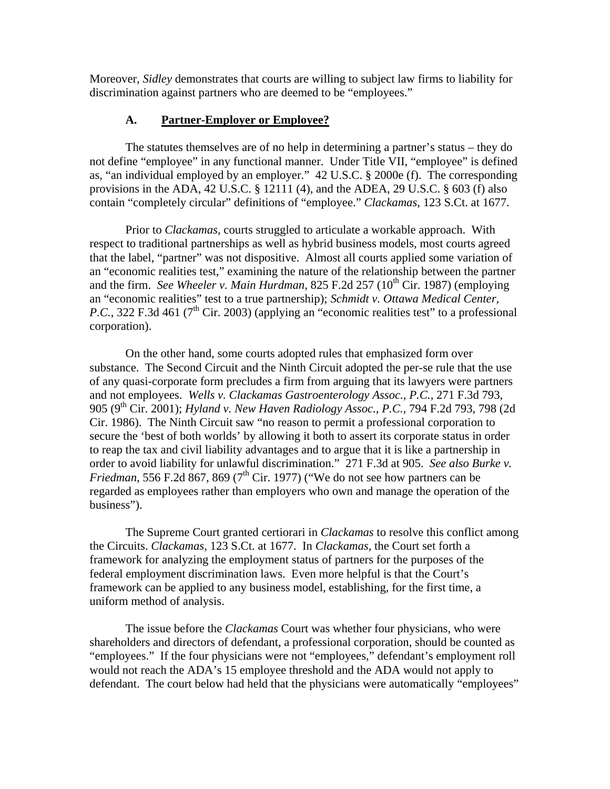Moreover, *Sidley* demonstrates that courts are willing to subject law firms to liability for discrimination against partners who are deemed to be "employees."

#### **A. Partner-Employer or Employee?**

The statutes themselves are of no help in determining a partner's status – they do not define "employee" in any functional manner. Under Title VII, "employee" is defined as, "an individual employed by an employer." 42 U.S.C. § 2000e (f). The corresponding provisions in the ADA, 42 U.S.C. § 12111 (4), and the ADEA, 29 U.S.C. § 603 (f) also contain "completely circular" definitions of "employee." *Clackamas*, 123 S.Ct. at 1677.

Prior to *Clackamas*, courts struggled to articulate a workable approach. With respect to traditional partnerships as well as hybrid business models, most courts agreed that the label, "partner" was not dispositive. Almost all courts applied some variation of an "economic realities test," examining the nature of the relationship between the partner and the firm. *See Wheeler v. Main Hurdman*, 825 F.2d 257 (10<sup>th</sup> Cir. 1987) (employing an "economic realities" test to a true partnership); *Schmidt v. Ottawa Medical Center, P.C.*, 322 F.3d 461 ( $7<sup>th</sup>$  Cir. 2003) (applying an "economic realities test" to a professional corporation).

On the other hand, some courts adopted rules that emphasized form over substance. The Second Circuit and the Ninth Circuit adopted the per-se rule that the use of any quasi-corporate form precludes a firm from arguing that its lawyers were partners and not employees. *Wells v. Clackamas Gastroenterology Assoc., P.C.*, 271 F.3d 793, 905 (9<sup>th</sup> Cir. 2001); *Hyland v. New Haven Radiology Assoc., P.C.*, 794 F.2d 793, 798 (2d Cir. 1986). The Ninth Circuit saw "no reason to permit a professional corporation to secure the 'best of both worlds' by allowing it both to assert its corporate status in order to reap the tax and civil liability advantages and to argue that it is like a partnership in order to avoid liability for unlawful discrimination." 271 F.3d at 905. *See also Burke v. Friedman*, 556 F.2d  $\frac{867}{6}$ , 869 ( $7<sup>th</sup>$  Cir. 1977) ("We do not see how partners can be regarded as employees rather than employers who own and manage the operation of the business").

The Supreme Court granted certiorari in *Clackamas* to resolve this conflict among the Circuits. *Clackamas*, 123 S.Ct. at 1677. In *Clackamas*, the Court set forth a framework for analyzing the employment status of partners for the purposes of the federal employment discrimination laws. Even more helpful is that the Court's framework can be applied to any business model, establishing, for the first time, a uniform method of analysis.

The issue before the *Clackamas* Court was whether four physicians, who were shareholders and directors of defendant, a professional corporation, should be counted as "employees." If the four physicians were not "employees," defendant's employment roll would not reach the ADA's 15 employee threshold and the ADA would not apply to defendant. The court below had held that the physicians were automatically "employees"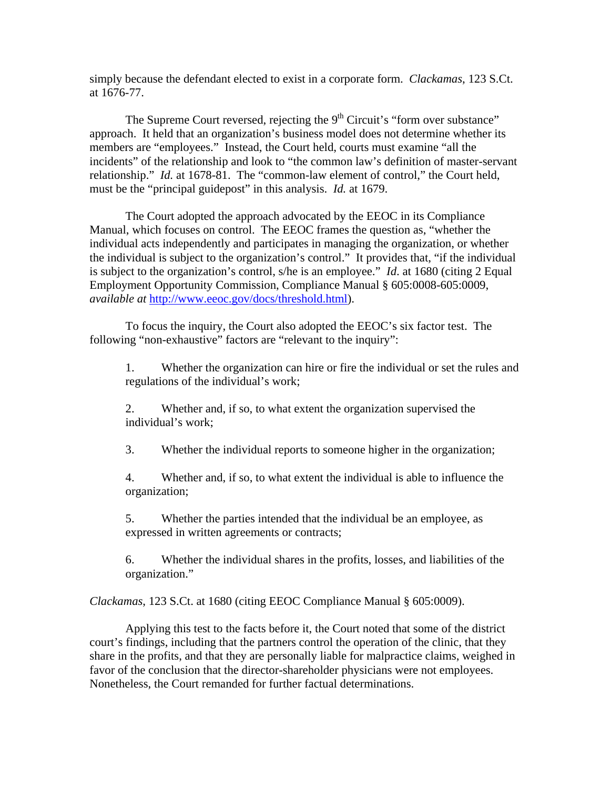simply because the defendant elected to exist in a corporate form. *Clackamas*, 123 S.Ct. at 1676-77.

The Supreme Court reversed, rejecting the  $9<sup>th</sup>$  Circuit's "form over substance" approach. It held that an organization's business model does not determine whether its members are "employees." Instead, the Court held, courts must examine "all the incidents" of the relationship and look to "the common law's definition of master-servant relationship." *Id.* at 1678-81. The "common-law element of control," the Court held, must be the "principal guidepost" in this analysis. *Id.* at 1679.

The Court adopted the approach advocated by the EEOC in its Compliance Manual, which focuses on control. The EEOC frames the question as, "whether the individual acts independently and participates in managing the organization, or whether the individual is subject to the organization's control." It provides that, "if the individual is subject to the organization's control, s/he is an employee." *Id*. at 1680 (citing 2 Equal Employment Opportunity Commission, Compliance Manual § 605:0008-605:0009, *available at* [http://www.eeoc.gov/docs/threshold.html\)](http://www.eeoc.gov/docs/threshold.html).

To focus the inquiry, the Court also adopted the EEOC's six factor test. The following "non-exhaustive" factors are "relevant to the inquiry":

1. Whether the organization can hire or fire the individual or set the rules and regulations of the individual's work;

2. Whether and, if so, to what extent the organization supervised the individual's work;

3. Whether the individual reports to someone higher in the organization;

4. Whether and, if so, to what extent the individual is able to influence the organization;

5. Whether the parties intended that the individual be an employee, as expressed in written agreements or contracts;

6. Whether the individual shares in the profits, losses, and liabilities of the organization."

*Clackamas*, 123 S.Ct. at 1680 (citing EEOC Compliance Manual § 605:0009).

 Applying this test to the facts before it, the Court noted that some of the district court's findings, including that the partners control the operation of the clinic, that they share in the profits, and that they are personally liable for malpractice claims, weighed in favor of the conclusion that the director-shareholder physicians were not employees. Nonetheless, the Court remanded for further factual determinations.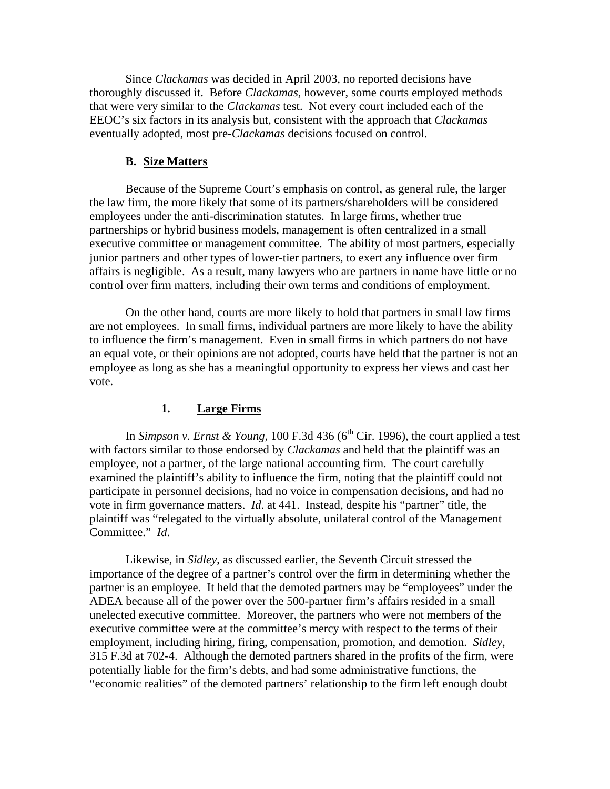Since *Clackamas* was decided in April 2003, no reported decisions have thoroughly discussed it. Before *Clackamas*, however, some courts employed methods that were very similar to the *Clackamas* test. Not every court included each of the EEOC's six factors in its analysis but, consistent with the approach that *Clackamas* eventually adopted, most pre-*Clackamas* decisions focused on control.

### **B. Size Matters**

Because of the Supreme Court's emphasis on control, as general rule, the larger the law firm, the more likely that some of its partners/shareholders will be considered employees under the anti-discrimination statutes. In large firms, whether true partnerships or hybrid business models, management is often centralized in a small executive committee or management committee. The ability of most partners, especially junior partners and other types of lower-tier partners, to exert any influence over firm affairs is negligible. As a result, many lawyers who are partners in name have little or no control over firm matters, including their own terms and conditions of employment.

On the other hand, courts are more likely to hold that partners in small law firms are not employees. In small firms, individual partners are more likely to have the ability to influence the firm's management. Even in small firms in which partners do not have an equal vote, or their opinions are not adopted, courts have held that the partner is not an employee as long as she has a meaningful opportunity to express her views and cast her vote.

#### **1. Large Firms**

In *Simpson v. Ernst & Young*, 100 F.3d 436 ( $6<sup>th</sup>$  Cir. 1996), the court applied a test with factors similar to those endorsed by *Clackamas* and held that the plaintiff was an employee, not a partner, of the large national accounting firm. The court carefully examined the plaintiff's ability to influence the firm, noting that the plaintiff could not participate in personnel decisions, had no voice in compensation decisions, and had no vote in firm governance matters. *Id*. at 441. Instead, despite his "partner" title, the plaintiff was "relegated to the virtually absolute, unilateral control of the Management Committee." *Id*.

 Likewise, in *Sidley*, as discussed earlier, the Seventh Circuit stressed the importance of the degree of a partner's control over the firm in determining whether the partner is an employee. It held that the demoted partners may be "employees" under the ADEA because all of the power over the 500-partner firm's affairs resided in a small unelected executive committee. Moreover, the partners who were not members of the executive committee were at the committee's mercy with respect to the terms of their employment, including hiring, firing, compensation, promotion, and demotion. *Sidley*, 315 F.3d at 702-4. Although the demoted partners shared in the profits of the firm, were potentially liable for the firm's debts, and had some administrative functions, the "economic realities" of the demoted partners' relationship to the firm left enough doubt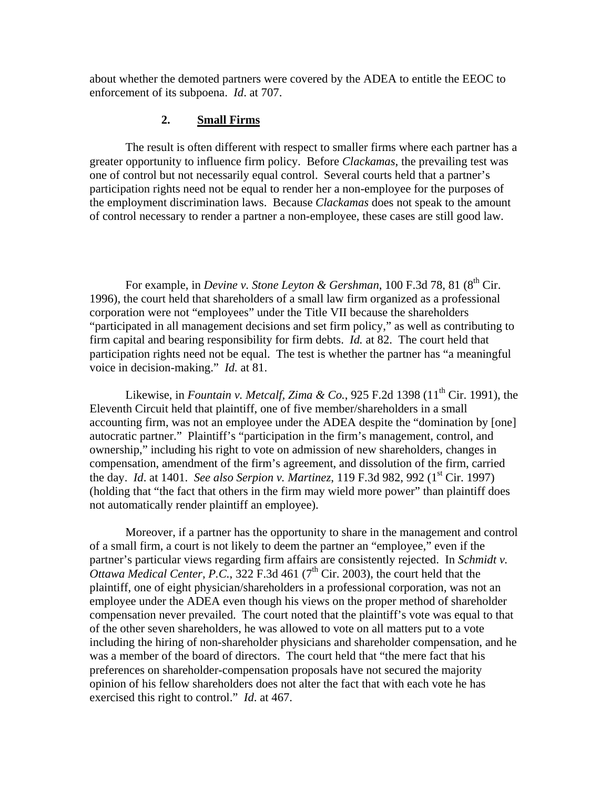about whether the demoted partners were covered by the ADEA to entitle the EEOC to enforcement of its subpoena. *Id*. at 707.

### **2. Small Firms**

 The result is often different with respect to smaller firms where each partner has a greater opportunity to influence firm policy. Before *Clackamas*, the prevailing test was one of control but not necessarily equal control. Several courts held that a partner's participation rights need not be equal to render her a non-employee for the purposes of the employment discrimination laws. Because *Clackamas* does not speak to the amount of control necessary to render a partner a non-employee, these cases are still good law.

For example, in *Devine v. Stone Leyton & Gershman*, 100 F.3d 78, 81 (8<sup>th</sup> Cir. 1996)*,* the court held that shareholders of a small law firm organized as a professional corporation were not "employees" under the Title VII because the shareholders "participated in all management decisions and set firm policy," as well as contributing to firm capital and bearing responsibility for firm debts. *Id.* at 82. The court held that participation rights need not be equal. The test is whether the partner has "a meaningful voice in decision-making." *Id.* at 81.

Likewise, in *Fountain v. Metcalf, Zima & Co.*, 925 F.2d 1398 (11<sup>th</sup> Cir. 1991), the Eleventh Circuit held that plaintiff, one of five member/shareholders in a small accounting firm, was not an employee under the ADEA despite the "domination by [one] autocratic partner." Plaintiff's "participation in the firm's management, control, and ownership," including his right to vote on admission of new shareholders, changes in compensation, amendment of the firm's agreement, and dissolution of the firm, carried the day. *Id*. at 1401. *See also Serpion v. Martinez*, 119 F.3d 982, 992 (1st Cir. 1997) (holding that "the fact that others in the firm may wield more power" than plaintiff does not automatically render plaintiff an employee).

Moreover, if a partner has the opportunity to share in the management and control of a small firm, a court is not likely to deem the partner an "employee," even if the partner's particular views regarding firm affairs are consistently rejected. In *Schmidt v. Ottawa Medical Center, P.C.*, 322 F.3d 461 (7<sup>th</sup> Cir. 2003), the court held that the plaintiff, one of eight physician/shareholders in a professional corporation, was not an employee under the ADEA even though his views on the proper method of shareholder compensation never prevailed. The court noted that the plaintiff's vote was equal to that of the other seven shareholders, he was allowed to vote on all matters put to a vote including the hiring of non-shareholder physicians and shareholder compensation, and he was a member of the board of directors. The court held that "the mere fact that his preferences on shareholder-compensation proposals have not secured the majority opinion of his fellow shareholders does not alter the fact that with each vote he has exercised this right to control." *Id*. at 467.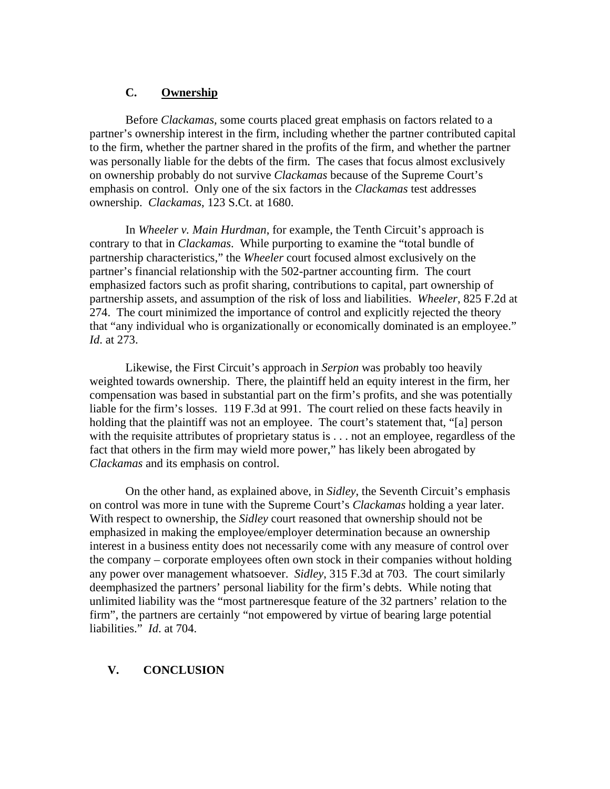# **C. Ownership**

Before *Clackamas,* some courts placed great emphasis on factors related to a partner's ownership interest in the firm, including whether the partner contributed capital to the firm, whether the partner shared in the profits of the firm, and whether the partner was personally liable for the debts of the firm. The cases that focus almost exclusively on ownership probably do not survive *Clackamas* because of the Supreme Court's emphasis on control. Only one of the six factors in the *Clackamas* test addresses ownership. *Clackamas*, 123 S.Ct. at 1680.

In *Wheeler v. Main Hurdman*, for example, the Tenth Circuit's approach is contrary to that in *Clackamas*. While purporting to examine the "total bundle of partnership characteristics," the *Wheeler* court focused almost exclusively on the partner's financial relationship with the 502-partner accounting firm. The court emphasized factors such as profit sharing, contributions to capital, part ownership of partnership assets, and assumption of the risk of loss and liabilities. *Wheeler*, 825 F.2d at 274. The court minimized the importance of control and explicitly rejected the theory that "any individual who is organizationally or economically dominated is an employee." *Id*. at 273.

Likewise, the First Circuit's approach in *Serpion* was probably too heavily weighted towards ownership. There, the plaintiff held an equity interest in the firm, her compensation was based in substantial part on the firm's profits, and she was potentially liable for the firm's losses. 119 F.3d at 991. The court relied on these facts heavily in holding that the plaintiff was not an employee. The court's statement that, "[a] person with the requisite attributes of proprietary status is . . . not an employee, regardless of the fact that others in the firm may wield more power," has likely been abrogated by *Clackamas* and its emphasis on control.

 On the other hand, as explained above, in *Sidley*, the Seventh Circuit's emphasis on control was more in tune with the Supreme Court's *Clackamas* holding a year later. With respect to ownership, the *Sidley* court reasoned that ownership should not be emphasized in making the employee/employer determination because an ownership interest in a business entity does not necessarily come with any measure of control over the company – corporate employees often own stock in their companies without holding any power over management whatsoever. *Sidley*, 315 F.3d at 703. The court similarly deemphasized the partners' personal liability for the firm's debts. While noting that unlimited liability was the "most partneresque feature of the 32 partners' relation to the firm", the partners are certainly "not empowered by virtue of bearing large potential liabilities." *Id*. at 704.

# **V. CONCLUSION**